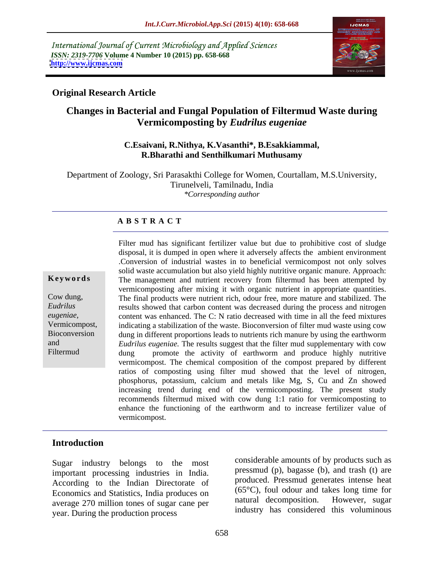International Journal of Current Microbiology and Applied Sciences *ISSN: 2319-7706* **Volume 4 Number 10 (2015) pp. 658-668 <http://www.ijcmas.com>**



### **Original Research Article**

# **Changes in Bacterial and Fungal Population of Filtermud Waste during Vermicomposting by** *Eudrilus eugeniae*

# **C.Esaivani, R.Nithya, K.Vasanthi\*, B.Esakkiammal, R.Bharathi and Senthilkumari Muthusamy**

Department of Zoology, Sri Parasakthi College for Women, Courtallam, M.S.University, Tirunelveli, Tamilnadu, India *\*Corresponding author*

### **A B S T R A C T**

Filtermud

Filter mud has significant fertilizer value but due to prohibitive cost of sludge disposal, it is dumped in open where it adversely affects the ambient environment .Conversion of industrial wastes in to beneficial vermicompost not only solves solid waste accumulation but also yield highly nutritive organic manure. Approach: **Keywords** The management and nutrient recovery from filtermud has been attempted by vermicomposting after mixing it with organic nutrient in appropriate quantities. The final products were nutrient rich, odour free, more mature and stabilized. The Cow dung, results showed that carbon content was decreased during the process and nitrogen *Eudrilus*  content was enhanced. The C: N ratio decreased with time in all the feed mixtures *eugeniae,* indicating a stabilization of the waste. Bioconversion of filter mud waste using cow Vermicompost, dung in different proportions leads to nutrients rich manure by using the earthworm Bioconversion *Eudrilus eugeniae.* The results suggest that the filter mud supplementary with cow and dung promote the activity of earthworm and produce highly nutritive vermicompost. The chemical composition of the compost prepared by different ratios of composting using filter mud showed that the level of nitrogen, phosphorus, potassium, calcium and metals like Mg, S, Cu and Zn showed increasing trend during end of the vermicomposting. The present study recommends filtermud mixed with cow dung 1:1 ratio for vermicomposting to enhance the functioning of the earthworm and to increase fertilizer value of vermicompost.

### **Introduction**

Sugar industry belongs to the most important processing industries in India. According to the Indian Directorate of Economics and Statistics, India produces on (65°C), foul odour and takes long time for<br>average 270 million tones of sugar cano per natural decomposition. However, sugar average 270 million tones of sugar cane per year. During the production process

considerable amounts of by products such as pressmud (p), bagasse (b), and trash (t) are produced. Pressmud generates intense heat (65°C), foul odour and takes long time for natural decomposition. industry has considered this voluminous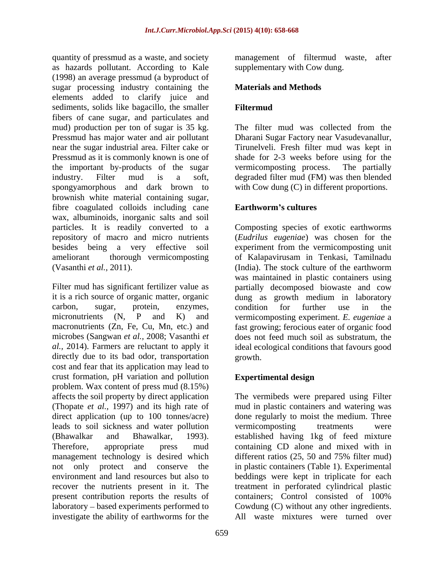quantity of pressmud as a waste, and society management of filtermud waste, after as hazards pollutant. According to Kale (1998) an average pressmud (a byproduct of sugar processing industry containing the elements added to clarify juice and sediments, solids like bagacillo, the smaller Filtermud fibers of cane sugar, and particulates and mud) production per ton of sugar is 35 kg. The filter mud was collected from the Pressmud has major water and air pollutant Dharani Sugar Factory near Vasudevanallur, near the sugar industrial area. Filter cake or Pressmud as it is commonly known is one of the important by-products of the sugar vermicomposting process. The partially industry. Filter mud is a soft, degraded filter mud (FM) was then blended spongyamorphous and dark brown to with Cow dung (C) in different proportions. brownish white material containing sugar, fibre coagulated colloids including cane **Earthworm's cultures** wax, albuminoids, inorganic salts and soil particles. It is readily converted to a Composting species of exotic earthworms repository of macro and micro nutrients (*Eudrilus eugeniae*) was chosen forthe besides being a very effective soil experiment from the vermicomposting unit ameliorant thorough vermicomposting of Kalapavirusam in Tenkasi, Tamilnadu (Vasanthi *et al.,* 2011). (India). The stock culture of the earthworm

Filter mud has significant fertilizer value as partially decomposed biowaste and cow it is a rich source of organic matter, organic dung as growth medium in laboratory carbon, sugar, protein, enzymes, micronutrients (N, P and K) and vermicomposting experiment. *E. eugeniae* a macronutrients (Zn, Fe, Cu, Mn, etc.) and fast growing; ferocious eater of organic food microbes (Sangwan *et al.,* 2008; Vasanthi *et*  al., 2014). Farmers are reluctant to apply it ideal ecological conditions that favours good directly due to its bad odor, transportation growth. cost and fear that its application may lead to crust formation, pH variation and pollution Expertimental design problem. Wax content of press mud (8.15%) affects the soil property by direct application The vermibeds were prepared using Filter (Thopate *et al.,* 1997) and its high rate of mud in plastic containers and watering was direct application (up to 100 tonnes/acre) done regularly to moist the medium. Three leads to soil sickness and water pollution (Bhawalkar and Bhawalkar, 1993). established having 1kg of feed mixture Therefore, appropriate press mud containing CD alone and mixed with in management technology is desired which different ratios (25, 50 and 75% filter mud) not only protect and conserve the in plastic containers (Table 1). Experimental environment and land resources but also to beddings were kept in triplicate for each recover the nutrients present in it. The treatment in perforated cylindrical plastic present contribution reports the results of containers; Control consisted of 100% laboratory – based experiments performed to Cowdung (C) without any other ingredients. investigate the ability of earthworms for the

supplementary with Cow dung.

### **Materials and Methods**

### **Filtermud**

The filter mud was collected from the Tirunelveli. Fresh filter mud was kept in shade for 2-3 weeks before using for the vermicomposting process. The partially

### **Earthworm s cultures**

was maintained in plastic containers using condition for further use in the does not feed much soil as substratum, the growth. The contraction of the contraction of the contraction of the contraction of the contraction of the contraction of the contraction of the contraction of the contraction of the contraction of the contraction of the c

## **Expertimental design**

vermicomposting treatments were different ratios (25, 50 and 75% filter mud) containers; Control consisted of 100% All waste mixtures were turned over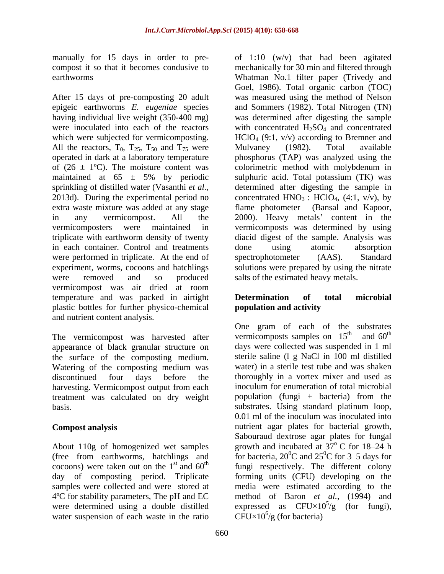After 15 days of pre-composting 20 adult which were subjected for vermicomposting. All the reactors,  $T_0$ ,  $T_{25}$ ,  $T_{50}$  and  $T_{75}$  were Mulvaney (1982). Total available sprinkling of distilled water (Vasanthi *et al.,* in each container. Control and treatments done using atomic absorption were performed in triplicate. At the end of spectrophotometer (AAS). Standard were removed and so produced salts of the estimated heavy metals. vermicompost was air dried at room temperature and was packed in airtight **Determination of total microbial** plastic bottles for further physico-chemical and nutrient content analysis.

The vermicompost was harvested after vermicomposts samples on  $15<sup>th</sup>$  and  $60<sup>th</sup>$  appearance of black granular structure on days were collected was suspended in 1 ml appearance of black granular structure on the surface of the composting medium. Watering of the composting medium was harvesting. Vermicompost output from each treatment was calculated on dry weight

day of composting period. Triplicate samples were collected and were stored at water suspension of each waste in the ratio

manually for 15 days in order to pre- of 1:10 (w/v) that had been agitated compost it so that it becomes condusive to mechanically for 30 min and filtered through earthworms Whatman No.1 filter paper (Trivedy and epigeic earthworms *E. eugeniae* species and Sommers (1982). Total Nitrogen (TN) having individual live weight (350-400 mg) was determined after digesting the sample were inoculated into each of the reactors with concentrated  $H_2SO_4$  and concentrated operated in dark at a laboratory temperature phosphorus (TAP) was analyzed using the of  $(26 \pm 1^{\circ}C)$ . The moisture content was colorimetric method with molybdenum in maintained at  $65 \pm 5\%$  by periodic sulphuric acid. Total potassium (TK) was 2013d). During the experimental period no concentrated  $HNO<sub>3</sub>$ :  $HClO<sub>4</sub>$ , (4:1, v/v), by extra waste mixture was added at any stage flame photometer (Bansal and Kapoor, in any vermicompost. All the 2000). Heavy metals' content in the vermicomposters were maintained in vermicomposts was determined by using triplicate with earthworm density of twenty diacid digest of the sample. Analysis was experiment, worms, cocoons and hatchlings solutions were prepared by using the nitrate Goel, 1986). Total organic carbon (TOC) was measured using the method of Nelson  $HCIO<sub>4</sub> (9:1, y/y)$  according to Bremner and Mulvaney (1982). Total available sulphuric acid. Total potassium (TK) was determined after digesting the sample in done using atomic absorption spectrophotometer (AAS). Standard

## **Determination of total microbial population and activity**

discontinued four days before the thoroughly in a vortex mixer and used as basis. substrates. Using standard platinum loop, **Compost analysis** nutrient agar plates for bacterial growth, About 110g of homogenized wet samples growth and incubated at  $37^{\circ}$  C for 18–24 h (free from earthworms, hatchlings and for bacteria,  $20^{\circ}$ C and  $25^{\circ}$ C for 3–5 days for cocoons) were taken out on the  $1<sup>st</sup>$  and  $60<sup>th</sup>$  fungi respectively. The different colony 4ºC for stability parameters, The pH and EC method of Baron *et al.,* (1994) and were determined using a double distilled expressed as  $CFU\times10^{3}/g$  (for fungi), One gram of each of the substrates vermicomposts samples on  $15<sup>th</sup>$ th and  $60^{\text{th}}$ and  $60<sup>th</sup>$ th vermicomposts samples on  $15<sup>th</sup>$  and  $60<sup>th</sup>$  days were collected was suspended in 1 ml sterile saline (l g NaCl in 100 ml distilled water) in a sterile test tube and was shaken inoculum for enumeration of total microbial population (fungi + bacteria) from the 0.01 ml of the inoculum was inoculated into Sabouraud dextrose agar plates for fungal  $\degree$  C for 18–24 h  $\rm ^{0}C$  and 25<sup>0</sup>C for 3–5 days for  ${}^{0}C$  for 3–5 days for forming units (CFU) developing on the media were estimated according to the  $5/\alpha$  (for funct) /g (for fungi),  $CFU\times10^6/g$  (for bacteria)  $CFU\times10^6$ /g (for bacteria)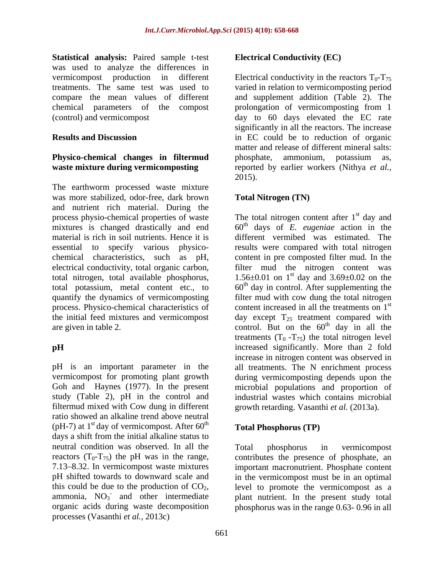**Statistical analysis:** Paired sample t-test was used to analyze the differences in vermicompost production in different Electrical conductivity in the reactors  $T_0 - T_{75}$ treatments. The same test was used to varied in relation to vermicomposting period compare the mean values of different and supplement addition (Table 2). The chemical parameters of the compost prolongation of vermicomposting from 1

# **Physico-chemical changes in filtermud**

The earthworm processed waste mixture was more stabilized, odor-free, dark brown and nutrient rich material. During the mixtures is changed drastically and end total nitrogen, total available phosphorus, quantify the dynamics of vermicomposting

Goh and Haynes (1977). In the present filtermud mixed with Cow dung in different ratio showed an alkaline trend above neutral (pH-7) at  $1<sup>st</sup>$  day of vermicompost. After 60<sup>th</sup> days a shift from the initial alkaline status to neutral condition was observed. In all the Total phosphorus in vermicompost reactors  $(T_0-T_{75})$  the pH was in the range, contributes the presence of phosphate, an 7.13 8.32. In vermicompost waste mixtures important macronutrient. Phosphate content pH shifted towards to downward scale and in the vermicompost must be in an optimal this could be due to the production of  $CO_2$ , level to promote the vermicompost as a ammonia,  $NO_3^-$  and other intermediate plant nutrient. In the present study total organic acids during waste decomposition phosphorus was in the range 0.63- 0.96 in all processes (Vasanthi *et al.,* 2013c)

### **Electrical Conductivity (EC)**

(control) and vermicompost day to 60 days elevated the EC rate **Results and Discussion** in EC could be to reduction of organic **waste mixture during vermicomposting** reported by earlier workers (Nithya *et al.,* significantly in all the reactors. The increase matter and release of different mineral salts: phosphate, ammonium, potassium as, 2015).

### **Total Nitrogen (TN)**

process physio-chemical properties of waste The total nitrogen content after 1<sup>st</sup> day and material is rich in soil nutrients. Hence it is different vermibed was estimated. The essential to specify various physico- results were compared with total nitrogen chemical characteristics, such as pH, content in pre composted filter mud. In the electrical conductivity, total organic carbon, filter mud the nitrogen content was total potassium, metal content etc., to  $60<sup>th</sup>$  day in control. After supplementing the process. Physico-chemical characteristics of  $\qquad$  content increased in all the treatments on  $1<sup>st</sup>$ the initial feed mixtures and vermicompost day except  $T_{25}$  treatment compared with are given in table 2.  $\qquad \qquad$  control. But on the  $60^{\text{th}}$  day in all the **pH** increased significantly. More than 2 fold pH is an important parameter in the all treatments. The N enrichment process vermicompost for promoting plant growth during vermicomposting depends upon the study (Table 2), pH in the control and industrial wastes which contains microbial st day and  $60<sup>th</sup>$  days of *E. eugeniae* action in the 1.56 $\pm$ 0.01 on 1<sup>st</sup> day and 3.69 $\pm$ 0.02 on the filter mud with cow dung the total nitrogen st <sup>th</sup> day in all the treatments  $(T_0 - T_{75})$  the total nitrogen level increase in nitrogen content was observed in microbial populations and proportion of growth retarding. Vasanthi *et al.* (2013a).

### **Total Phosphorus (TP)**

and other intermediate plant nutrient. In the present study total Total phosphorus in vermicompost level to promote the vermicompost as a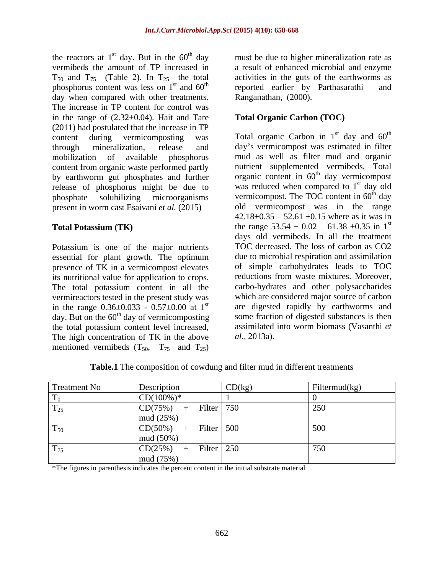the reactors at  $1<sup>st</sup>$  day. But in the  $60<sup>th</sup>$  day vermibeds the amount of TP increased in  $T_{50}$  and  $T_{75}$  (Table 2). In  $T_{25}$  the total activities in the guts of the earthworms as phosphorus content was less on  $1<sup>st</sup>$  and  $60<sup>th</sup>$  reported earlier by Parthasarathi and day when compared with other treatments. The increase in TP content for control was in the range of  $(2.32\pm0.04)$ . Hait and Tare (2011) had postulated that the increase in TP content during vermicomposting was Total organic Carbon in  $1<sup>st</sup>$  day and  $60<sup>th</sup>$ through mineralization, release and day s vermicompost was estimated in filter mobilization of available phosphorus mud as well as filter mud and organic content from organic waste performed partly by earthworm gut phosphates and further release of phosphorus might be due to phosphate solubilizing microorganisms vermicompost. The TOC content in 60<sup>th</sup> day present in worm cast Esaivani *et al.* (2015)

Potassium is one of the major nutrients essential for plant growth. The optimum presence of TK in a vermicompost elevates its nutritional value for application to crops. The total potassium content in all the vermireactors tested in the present study was day. But on the  $60<sup>th</sup>$  day of vermicomposting the total potassium content level increased, The high concentration of TK in the above al., 2013a). mentioned vermibeds  $(T_{50}, T_{75}$  and  $T_{25})$ 

 $s$ <sup>t</sup> day. But in the  $60<sup>th</sup>$  day must be due to higher mineralization rate as <sup>st</sup> and 60<sup>th</sup> reported earlier by Parthasarathi and a result of enhanced microbial and enzyme Ranganathan, (2000).

### **Total Organic Carbon (TOC)**

**Total Potassium (TK)** the range  $53.54 \pm 0.02 - 61.38 \pm 0.35$  in 1<sup>st</sup> in the range  $0.36\pm0.033$  -  $0.57\pm0.00$  at 1<sup>st</sup> are digested rapidly by earthworms and  $\mu$ <sup>st</sup> day and  $60^{\text{th}}$ th nutrient supplemented vermibeds. Total organic content in  $60<sup>th</sup>$  day vermicompost <sup>th</sup> day vermicompost was reduced when compared to  $1<sup>st</sup>$  day old st day old <sup>th</sup> day old vermicompost was in the range  $42.18 \pm 0.35 - 52.61 \pm 0.15$  where as it was in st days old vermibeds. In all the treatment TOC decreased. The loss of carbon as CO2 due to microbial respiration and assimilation of simple carbohydrates leads to TOC reductions from waste mixtures. Moreover, carbo-hydrates and other polysaccharides which are considered major source of carbon some fraction of digested substances is then assimilated into worm biomass (Vasanthi *et al.,* 2013a).

|              |                                            | $\sim$     |               |
|--------------|--------------------------------------------|------------|---------------|
| Treatment No | Description                                | CD(kg)     | Filtermud(kg) |
| $T_0$        | $CD(100\%)*$                               |            |               |
| $T_{25}$     | CD(75%)<br>Filter $\vert$ 750<br>$ +$ $-$  |            | 250           |
|              | mud $(25%)$                                |            |               |
| $T_{50}$     | CD(50%)                                    | Filter 500 | 500           |
|              | mud(50%)                                   |            |               |
| $T_{75}$     | CD(25%)<br>Filter $\vert 250 \vert$<br>$+$ |            | 750           |
|              | mud (75%)                                  |            |               |

**Table.1** The composition of cowdung and filter mud in different treatments

\*The figures in parenthesis indicates the percent content in the initial substrate material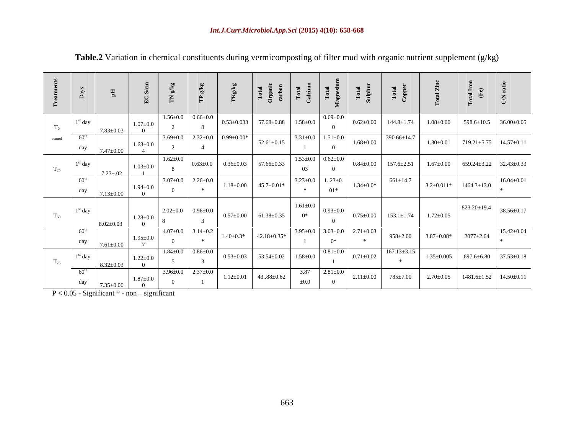| $\mathrm{T}_0$    | $1st$ day<br>$7.83 + 0.03$                                                                                                          | $1.07 \pm 0.0$ | $1.56 \pm 0.0$ 0.66 $\pm 0.0$ |                               |                                                 |                                                 | $0.53 \pm 0.033$ 57.68 $\pm 0.88$ 1.58 $\pm 0.0$ | $0.69 \pm 0.0$ |                 | $0.62 \pm 0.00$ 144.8 $\pm$ 1.74                 | $1.08 \pm 0.00$ $598.6 \pm 10.5$ $36.00 \pm 0.05$  |                        |                                      |
|-------------------|-------------------------------------------------------------------------------------------------------------------------------------|----------------|-------------------------------|-------------------------------|-------------------------------------------------|-------------------------------------------------|--------------------------------------------------|----------------|-----------------|--------------------------------------------------|----------------------------------------------------|------------------------|--------------------------------------|
| control           | $   -$<br>- 60<br>$\begin{array}{ c c c c c } \hline \end{array}$ day $\begin{array}{ c c c c } \hline \end{array}$ 7.47±0.00       | $1.68 + 0.0$   |                               |                               | $3.69 \pm 0.0$ $2.32 \pm 0.0$ $0.99 \pm 0.00$ * | $52.61 \pm 0.15$                                | $3.31 \pm 0.0$ $1.51 \pm 0.0$                    |                | $1.68 \pm 0.00$ | 390.66±14.7                                      | $1.30 \pm 0.01$                                    | 719.21±5.75 14.57±0.11 |                                      |
| $\mathrm{T}_{25}$ | $1st$ day<br>$7.23 \pm .02$                                                                                                         | $1.03 \pm 0.0$ | $1.62{\pm}0.0$                |                               |                                                 | $0.63 \pm 0.0$ $0.36 \pm 0.03$ 57.66 $\pm 0.33$ | $1.53 \pm 0.0$ 0.62 $\pm 0.0$<br>0 <sup>3</sup>  |                |                 | $0.84 \pm 0.00$ 157.6 $\pm 2.51$                 | $1.67 \pm 0.00$ 659.24 $\pm$ 3.22 32.43 $\pm$ 0.33 |                        |                                      |
|                   | $60^{\text{th}}$<br>$\frac{\text{day}}{7.13 \pm 0.00}$                                                                              | $1.94 \pm 0.0$ | $3.07 \pm 0.0$ 2.26 $\pm 0.0$ |                               |                                                 | $1.18 \pm 0.00$ $45.7 \pm 0.01*$                | $3.23 \pm 0.0$ 123 $\pm$ 0.                      | $01*$          | $1.34 \pm 0.0*$ | $661 \pm 14.7$                                   | $3.2 \pm 0.011*$ 1464.3 $\pm$ 13.0                 |                        | $16.04 \pm 0.01$                     |
| $\mathrm{T}_{50}$ | $1st$ day<br>$8.02+0.03$                                                                                                            | $1.28 \pm 0.0$ | $2.02 \pm 0.0$ 0.96 $\pm 0.0$ |                               |                                                 | $0.57 \pm 0.00$ 61.38 $\pm 0.35$                | $1.61 \pm 0.0$<br>$0^*$                          | $0.93 \pm 0.0$ |                 | $0.75 \pm 0.00$ 153.1 $\pm$ 1.74 1.72 $\pm$ 0.05 |                                                    |                        | $823.20 \pm 19.4$   $38.56 \pm 0.17$ |
|                   | $\overline{\phantom{a}}$ and $\overline{\phantom{a}}$<br>$\begin{array}{ c c c c c } \hline \text{day} & 7.61 \pm 0.00 \end{array}$ | $1.95 \pm 0.0$ | $4.07 \pm 0.0$ $3.14 \pm 0.2$ |                               |                                                 | $1.40 \pm 0.3^*$ 42.18 $\pm 0.35^*$             | $3.95\pm0.0$ $3.03\pm0.0$ $2.71\pm0.03$          | $\Omega^*$     |                 | $958 \pm 2.00$ $3.87 \pm 0.08$ $2077 \pm 2.64$   |                                                    |                        | $15.42 \pm 0.04$                     |
| $T_{75}$          | $1st$ day<br>$8.32 \pm 0.03$                                                                                                        | $1.22 \pm 0.0$ |                               | $1.84 \pm 0.0$ 0.86 $\pm 0.0$ |                                                 |                                                 | $0.53 \pm 0.03$ $53.54 \pm 0.02$ $1.58 \pm 0.0$  | $0.81 \pm 0.0$ | $0.71 \pm 0.02$ | $167.13 \pm 3.15$                                | $1.35 \pm 0.005$ 697.6 $\pm$ 6.80 37.53 $\pm$ 0.18 |                        |                                      |
|                   | 60 <sup>th</sup><br>$\frac{day}{7.35 \pm 0.00}$                                                                                     | $1.87 \pm 0.0$ |                               | $3.96 \pm 0.0$ $2.37 \pm 0.0$ |                                                 | $1.12 \pm 0.01$ 4388 $\pm$ 0.62                 | 3.87 2.81 $\pm$ 0.0<br>$\pm 0.0$                 |                | $2.11 \pm 0.00$ | $785 \pm 7.00$                                   | $2.70 \pm 0.05$ 1481.6 $\pm 1.52$ 14.50 $\pm 0.11$ |                        |                                      |

| <b>Table.2</b> Variation in chemical constituents during vermicomposting of filter mud with organic nutrient suppler | t supplement (g/kg) |  |  |
|----------------------------------------------------------------------------------------------------------------------|---------------------|--|--|
|                                                                                                                      | .                   |  |  |

 $P < 0.05$  - Significant  $*$  - non - significant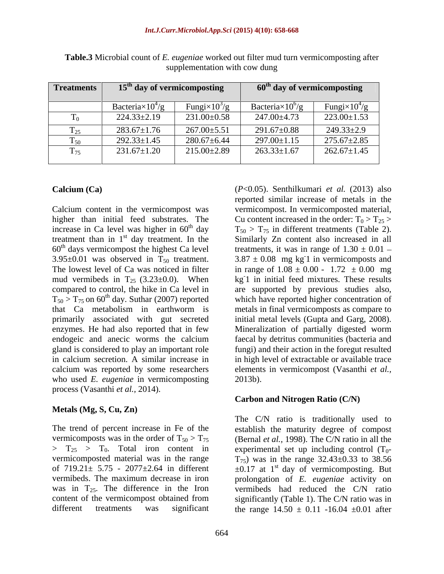|               |                          | $15th$ day of vermicomposting | $\sim$ 60 <sup>th</sup> day of vermicomposting |                       |  |
|---------------|--------------------------|-------------------------------|------------------------------------------------|-----------------------|--|
|               |                          |                               |                                                |                       |  |
|               | Bacteria $\times 10^4/g$ | Fungi $\times 10^3/g$         | Bacteria $\times 10^{6}/g$                     | Fungi $\times 10^4/g$ |  |
|               | $224.33 \pm 2.19$        | $231.00 \pm 0.58$             | 247.00±4.73                                    | $223.00 \pm 1.53$     |  |
| $\sim$<br>125 | $283.67 \pm 1.76$        | $267.00 \pm 5.51$             | 291.67±0.88                                    | $249.33 \pm 2.9$      |  |
| 150           | $292.33 \pm 1.45$        | $280.67 \pm 6.44$             | $297.00 \pm 1.15$                              | $275.67 \pm 2.85$     |  |
| 175           | $231.67 \pm 1.20$        | $215.00 \pm 2.89$             | $263.33 \pm 1.67$                              | $262.67 \pm 1.45$     |  |

**Table.3** Microbial count of *E. eugeniae* worked out filter mud turn vermicomposting after supplementation with cow dung

 $60<sup>th</sup>$  days vermicompost the highest Ca level 3.95 $\pm$ 0.01 was observed in T<sub>50</sub> treatment.  $T_{50}$  >  $T_{75}$  on 60<sup>th</sup> day. Suthar (2007) reported<br>that Ca metabolism in earthworm is who used *E. eugeniae* in vermicomposting 2013b). process (Vasanthi *et al.,* 2014).

### **Metals (Mg, S, Cu, Zn)**

The trend of percent increase in Fe of the establish the maturity degree of compost vermicomposts was in the order of  $T_{50} > T_{75}$  (Bernal *et al.,* 1998). The C/N ratio in all the  $>$   $T_{25}$   $>$   $T_0$ . Total iron content in experimental set up including control (T<sub>0</sub>vermicomposted material was in the range  $T_{75}$  was in the range  $32.43\pm0.33$  to  $38.56$ of 719.21 $\pm$  5.75 - 2077 $\pm$ 2.64 in different  $\pm$ 0.17 at 1<sup>st</sup> day of vermicomposting. But vermibeds. The maximum decrease in iron prolongation of *E. eugeniae* activity on was in  $T_{25}$ . The difference in the Iron content of the vermicompost obtained from

**Calcium (Ca)** (*P*<0.05). Senthilkumari *et al.* (2013) also Calcium content in the vermicompost was vermicompost. In vermicomposted material, higher than initial feed substrates. The Cu content increased in the order:  $T_0 > T_{25} >$ increase in Ca level was higher in  $60^{th}$  day  $T_{50} > T_{75}$  in different treatments (Table 2). treatment than in 1<sup>st</sup> day treatment. In the Similarly Zn content also increased in all The lowest level of Ca was noticed in filter in range of  $1.08 \pm 0.00$  -  $1.72 \pm 0.00$  mg mud vermibeds in  $T_{25}$  (3.23±0.0). When kg<sup>-1</sup> in initial feed mixtures. These results compared to control, the hike in Calevel in are supported by previous studies also, that Ca metabolism in earthworm is metals in final vermicomposts as compare to primarily associated with gut secreted initial metal levels (Gupta and Garg, 2008). enzymes. He had also reported that in few Mineralization of partially digested worm endogeic and anecic worms the calcium faecal by detritus communities (bacteria and gland is considered to play an important role fungi) and their action in the foregut resulted in calcium secretion. A similar increase in in high level of extractable or available trace calcium was reported by some researchers elements in vermicompost (Vasanthi *et al.,* reported similar increase of metals in the  $T_{50} > T_{75}$  in different treatments (Table 2).<br>Similarly Zn content also increased in all treatments, it was in range of  $1.30 \pm 0.01$  - $3.87 \pm 0.08$  mg kg 1 in vermicomposts and -1 in vermicomposts and which have reported higher concentration of faecal by detritus communities (bacteria and 2013b).

### **Carbon and Nitrogen Ratio (C/N)**

different treatments was significant the range  $14.50 \pm 0.11$  -16.04  $\pm 0.01$  after The C/N ratio is traditionally used to vermibeds had reduced the C/N ratio significantly (Table 1). The C/N ratio was in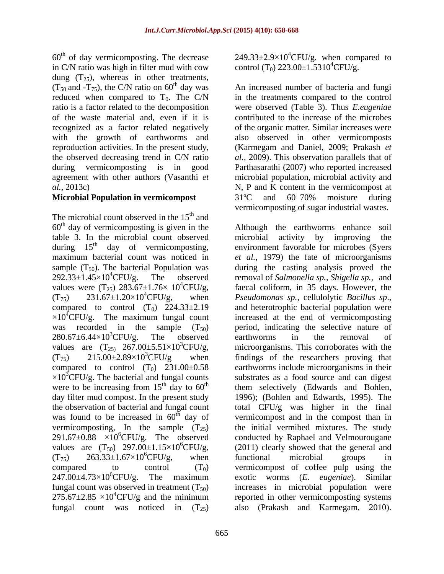$60<sup>th</sup>$  of day vermicomposting. The decrease in C/N ratio was high in filter mud with cow dung (T<sub>25</sub>), whereas in other treatments,<br>(T<sub>50</sub> and -T<sub>75</sub>), the C/N ratio on 60<sup>th</sup> day was  $(T_{50}$  and  $-T_{75})$ , the C/N ratio on 60<sup>th</sup> day was An increased number of bacteria and fungi

The microbial count observed in the  $15<sup>th</sup>$  and  $60<sup>th</sup>$  day of vermicomposting is given in the Although the earthworms enhance soil table 3. In the microbial count observed during 15<sup>th</sup> day of vermicomposting, values were  $(T_{25})$  283.67±1.76× 10<sup>4</sup>CFU/g,<br>(T<sub>75</sub>) 231.67±1.20×10<sup>4</sup>CFU/g, when compared to control  $(T_0)$  224.33 $\pm$ 2.19 and heterotrophic bacterial population were  $\times 10^4$ CFU/g. The maximum fungal count values are  $(T_{25})$  267.00±5.51×10<sup>3</sup>CFU/g,<br> $(T_{75})$  215.00±2.89×10<sup>3</sup>CFU/g when compared to control  $(T_0)$  231.00 $\pm$ 0.58  $\times 10^{3}$ CFU/g. The bacterial and fungal counts<br>were to be increasing from 15<sup>th</sup> day to 60<sup>th</sup> values are  $(T_{50})$  297.00±1.15×10<sup>6</sup>CFU/g, (2011) clearly showed th<br>  $(T_{75})$  263.33±1.67×10<sup>6</sup>CFU/g, when functional microbial  $275.67 \pm 2.85 \times 10^4$ CFU/g and the minimum

of day vermicomposting. The decrease  $249.33 \pm 2.9 \times 10^4$ CFU/g. when compared to control (T<sub>0</sub>) 223.00 $\pm$ 1.5310<sup>4</sup>CFU/g.

reduced when compared to  $T_0$ . The C/N in the treatments compared to the control ratio is a factor related to the decomposition were observed (Table 3). Thus *E.eugeniae*  of the waste material and, even if it is contributed to the increase of the microbes recognized as a factor related negatively of the organic matter. Similar increases were with the growth of earthworms and also observed in other vermicomposts reproduction activities. In the present study, (Karmegam and Daniel, 2009; Prakash *et*  the observed decreasing trend in C/N ratio *al.,* 2009). This observation parallels that of during vermicomposting is in good Parthasarathi (2007) who reported increased agreement with other authors (Vasanthi *et*  microbial population, microbial activity and *al.,* 2013c) N, P and K content in the vermicompost at **Microbial Population in vermicompost** 31°C and 60–70% moisture during  $31^{\circ}$ C and  $60-70%$  moisture during vermicomposting of sugar industrial wastes.

th day of vermicomposting, environment favorable for microbes (Syers maximum bacterial count was noticed in *et al.,* 1979) the fate of microorganisms sample  $(T_{50})$ . The bacterial Population was during the casting analysis proved the 292.33±1.45×104CFU/g. The observed removal of *Salmonella sp., Shigella sp.,* and  ${}^{4}$ CFU/g, faecal coliform, in 35 days. However, the  $(T_{75})$  231.67±1.20×10<sup>4</sup>CFU/g, when *Pseudomonas sp.*, cellulolytic *Bacillus sp.*, was recorded in the sample  $(T_{50})$  period, indicating the selective nature of  $280.67\pm6.44\times10^{3}$ CFU/g. The observed earthworms in the removal of  $(T_{75})$  215.00 $\pm$ 2.89×10<sup>3</sup>CFU/g when findings of the researchers proving that were to be increasing from  $15<sup>th</sup>$  day to  $60<sup>th</sup>$  them selectively (Edwards and Bohlen, day filter mud compost. In the present study 1996); (Bohlen and Edwards, 1995). The the observation of bacterial and fungal count total CFU/g was higher in the final was found to be increased in  $60<sup>th</sup>$  day of vermicompost and in the compost than in vermicomposting, In the sample  $(T_{25})$  the initial vermibed mixtures. The study  $291.67 \pm 0.88$  × $10^{6}$ CFU/g. The observed conducted by Raphael and Velmourougane  ${}^{6}$ CFU/g, (2011) clearly showed that the general and  $(T_{75})$  263.33 $\pm$ 1.67 $\times$ 10<sup>6</sup>CFU/g, when functional microbial groups in  ${}^{6}$ CFU/g, when functional microbial groups in compared to control  $(T_0)$  vermicompost of coffee pulp using the  $247.00\pm4.73\times10^{6}$ CFU/g. The maximum exotic worms (*E. eugeniae*). Similar fungal count was observed in treatment  $(T_{50})$  increases in microbial population were  ${}^{4}$ CFU/g and the minimum reported in other vermicomposting systems fungal count was noticed in  $(T_{25})$  also (Prakash and Karmegam, 2010). microbial activity by improving *Pseudomonas sp.*, cellulolytic *Bacillus sp*., and heterotrophic bacterial population were increased at the end of vermicomposting earthworms in the removal of microorganisms. This corroborates with the earthworms include microorganisms in their substrates as a food source and can digest functional microbial groups in exotic worms (*E. eugeniae*). Similar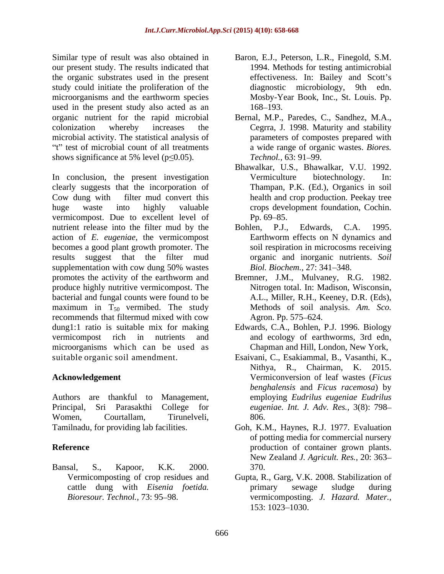Similar type of result was also obtained in Baron, E.J., Peterson, L.R., Finegold, S.M. our present study. The results indicated that the organic substrates used in the present study could initiate the proliferation of the diagnostic microbiology, 9th edn. microorganisms and the earthworm species used in the present study also acted as an 168–193. organic nutrient for the rapid microbial Bernal, M.P., Paredes, C., Sandhez, M.A., colonization whereby increases the Cegrra, J. 1998. Maturity and stability microbial activity. The statistical analysis of "t" test of microbial count of all treatments shows significance at 5% level ( $p \le 0.05$ ). Technol., 63: 91–99.

In conclusion, the present investigation Vermiculture biotechnology. In: clearly suggests that the incorporation of Cow dung with filter mud convert this health and crop production. Peekay tree huge waste into highly valuable crops development foundation, Cochin. vermicompost. Due to excellent level of Pp. 69–85. nutrient release into the filter mud by the Bohlen, P.J., Edwards, C.A. 1995. action of *E. eugeniae*, the vermicompost becomes a good plant growth promoter. The results suggest that the filter mud supplementation with cow dung 50% wastes Biol. Biochem., 27: 341–348. promotes the activity of the earthworm and produce highly nutritive vermicompost. The bacterial and fungal counts were found to be maximum in  $T_{50}$  vermibed. The study recommends that filtermud mixed with cow Agron. Pp. 575–624. dung1:1 ratio is suitable mix for making Edwards, C.A., Bohlen, P.J. 1996. Biology vermicompost rich in nutrients and and ecology of earthworms, 3rd edn, microorganisms which can be used as

Women, Courtallam, Tirunelveli,

Bansal, S., Kapoor, K.K. 2000.

- 1994. Methods for testing antimicrobial effectiveness. In: Bailey and Scott's diagnostic microbiology, 9th edn. Mosby-Year Book, Inc., St. Louis. Pp. 168–193.
- parameters of compostes prepared with a wide range of organic wastes. *Biores. Technol.,* 63: 91–99.
- Bhawalkar, U.S., Bhawalkar, V.U. 1992. Vermiculture biotechnology. In: Thampan, P.K. (Ed.), Organics in soil  $Pp. 69 - 85.$
- Bohlen, P.J., Edwards, C.A. 1995. Earthworm effects on N dynamics and soil respiration in microcosms receiving organic and inorganic nutrients. *Soil Biol. Biochem., 27: 341-348.*
- Bremner, J.M., Mulvaney, R.G. 1982. Nitrogen total. In: Madison, Wisconsin, A.L., Miller, R.H., Keeney, D.R. (Eds), Methods of soil analysis. *Am. Sco.* Agron. Pp. 575–624.
- Chapman and Hill, London, New York,
- suitable organic soil amendment. Esaivani, C., Esakiammal, B., Vasanthi, K., **Acknowledgement**  Vermiconversion of leaf wastes (*Ficus*  Authors are thankful to Management, employing *Eudrilus eugeniae Eudrilus* Principal, Sri Parasakthi College for *eugeniae. Int. J. Adv. Res.,* 3(8): 798 Nithya, R., Chairman, K. 2015. *benghalensis* and *Ficus racemosa*) by 806.
- Tamilnadu, for providing lab facilities. Goh, K.M., Haynes, R.J. 1977. Evaluation **Reference** production of container grown plants. of potting media for commercial nursery New Zealand *J. Agricult. Res.,* 20: 363 370.
	- Vermicomposting of crop residues and Gupta, R., Garg, V.K. 2008. Stabilization of cattle dung with *Eisenia foetida. Bioresour. Technol.,* 73: 95 98. vermicomposting. *J. Hazard. Mater.,* primary sewage sludge during 153: 1023–1030.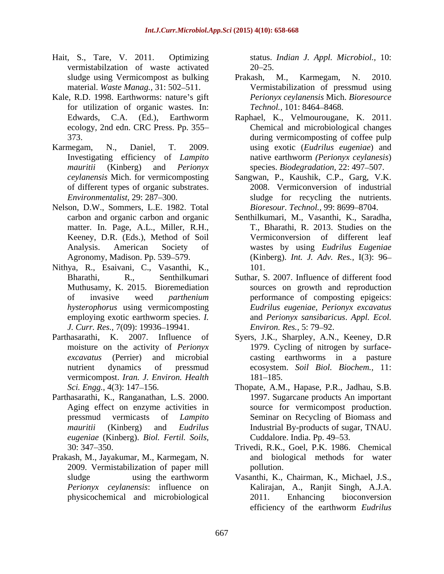- Hait, S., Tare, V. 2011. Optimizing status. *Indian J. Appl. Microbiol.,* 10: vermistabilzation of waste activated
- Kale, R.D. 1998. Earthworms: nature's gift for utilization of organic wastes. In: Technol., 101:8464–8468. ecology, 2nd edn. CRC Press. Pp. 355
- of different types of organic substrates.
- Nelson, D.W., Sommers, L.E. 1982. Total matter. In. Page, A.L., Miller, R.H.,
- Nithya, R., Esaivani, C., Vasanthi, K., 101.<br>
Bharathi, R., Senthilkumari Suthar, S. 2007. Influence of different food Muthusamy, K. 2015. Bioremediation *J. Curr. Res.,* 7(09): 19936–19941. *Environ. Res., 5:* 79–92.
- vermicompost. *Iran. J. Environ. Health*
- Parthasarathi, K., Ranganathan, L.S. 2000. *eugeniae* (Kinberg). *Biol. Fertil. Soils,*
- Prakash, M., Jayakumar, M., Karmegam, N. 2009. Vermistabilization of paper mill

 $20 - 25.$ 

- sludge using Vermicompost as bulking Prakash, M., Karmegam, N. 2010. material. *Waste Manag.*, 31: 502–511. Vermistabilization of pressmud using Prakash, M., Karmegam, N. 2010. *Perionyx ceylanensis* Mich. *Bioresource Technol.,* 101: 8464–8468.
- Edwards, C.A. (Ed.), Earthworm Raphael, K., Velmourougane, K. 2011. 373. during vermicomposting of coffee pulp Karmegam, N., Daniel, T. 2009. using exotic (*Eudrilus eugeniae*) and Investigating efficiency of *Lampito*  native earthworm *(Perionyx ceylanesis*) *mauritii* (Kinberg) and *Perionyx* species. *Biodegradation*, 22: 497–507. Chemical and microbiological changes
	- *ceylanensis* Mich. for vermicomposting Sangwan, P., Kaushik, C.P., Garg, V.K. *Environmentalist*, 29: 287–300. Sludge for recycling the nutrients. 2008. Vermiconversion of industrial *Bioresour. Technol., 99: 8699-8704.*
	- carbon and organic carbon and organic Senthilkumari, M., Vasanthi, K., Saradha, Keeney, D.R. (Eds.), Method of Soil Vermiconversion of different leaf Analysis. American Society of wastes by using *Eudrilus Eugeniae* Agronomy, Madison. Pp. 539 579. (Kinberg). *Int. J. Adv. Res.,* I(3): 96 T., Bharathi, R. 2013. Studies on the
	- of invasive weed *parthenium* performance of composting epigeics: *hysterophorus* using vermicomposting *Eudrilus eugeniae, Perionyx excavatus* employing exotic earthworm species. *I*. and *Perionyx sansibaricus. Appl. Ecol.* 101. Suthar, S. 2007. Influence of different food sources on growth and reproduction and *Perionyx sansibaricus*. *Appl. Ecol. Environ. Res., 5: 79–92.*
- Parthasarathi, K. 2007. Influence of Syers, J.K., Sharpley, A.N., Keeney, D.R moisture on the activity of *Perionyx*  1979. Cycling of nitrogen by surface *excavatus* (Perrier) and microbial casting earthworms in a pasture nutrient dynamics of pressmud ecosystem. *Soil Biol. Biochem.,* 11: 181–185.
	- *Sci. Engg.,* 4(3): 147 156. Thopate, A.M., Hapase, P.R., Jadhau, S.B. Aging effect on enzyme activities in source for vermicompost production. pressmud vermicasts of *Lampito*  Seminar on Recycling of Biomass and *mauritii* (Kinberg) and *Eudrilus*  Industrial By-products of sugar, TNAU. 1997. Sugarcane products An important Cuddalore. India. Pp. 49–53.
	- 30: 347 350. Trivedi, R.K., Goel, P.K. 1986. Chemical and biological methods for water pollution.
	- sludge using the earthworm Vasanthi, K., Chairman, K., Michael, J.S., *Perionyx ceylanensis*: influence on Kalirajan, A., Ranjit Singh, A.J.A. physicochemical and microbiological 2011. Enhancing bioconversion efficiency of the earthworm *Eudrilus*